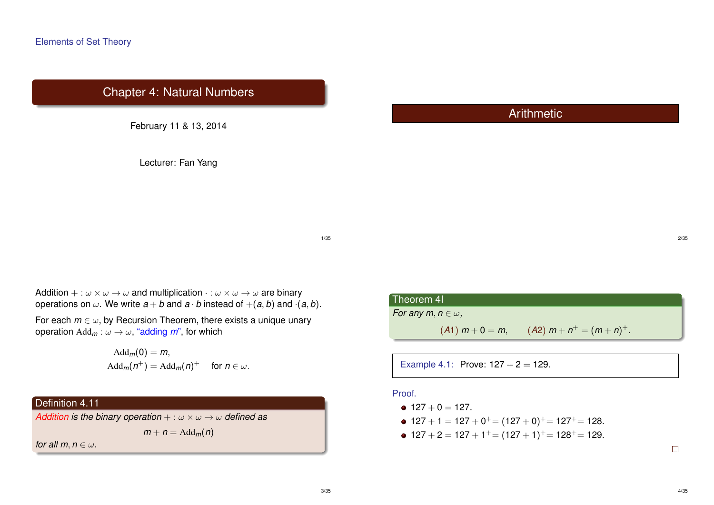# Chapter 4: Natural Numbers

February 11 & 13, 2014

Lecturer: Fan Yang

# **Arithmetic**

1/35

Addition  $+ : \omega \times \omega \rightarrow \omega$  and multiplication  $\cdot : \omega \times \omega \rightarrow \omega$  are binary operations on  $\omega$ . We write  $a + b$  and  $a \cdot b$  instead of  $+(a, b)$  and  $(a, b)$ .

For each  $m \in \omega$ , by Recursion Theorem, there exists a unique unary operation  $\text{Add}_m : \omega \to \omega$ , "adding m", for which

$$
Add_m(0) = m,
$$
  
 
$$
Add_m(n^+) = Add_m(n)^+ \text{ for } n \in \omega.
$$

# Definition 4.11

*Addition is the binary operation* + : ω × ω → ω *defined as*

 $m + n = \text{Add}_m(n)$ 

*for all m, n*  $\in \omega$ .

### Theorem 4I

*For any m, n*  $\in \omega$ ,

 $(A1)$   $m + 0 = m$ ,  $(A2)$   $m + n^{+} = (m + n)^{+}$ .

Example 4.1: Prove:  $127 + 2 = 129$ .

### Proof.

- $\bullet$  127 + 0 = 127.
- $127 + 1 = 127 + 0^+ = (127 + 0)^+ = 127^+ = 128.$
- $127 + 2 = 127 + 1^+ = (127 + 1)^+ = 128^+ = 129.$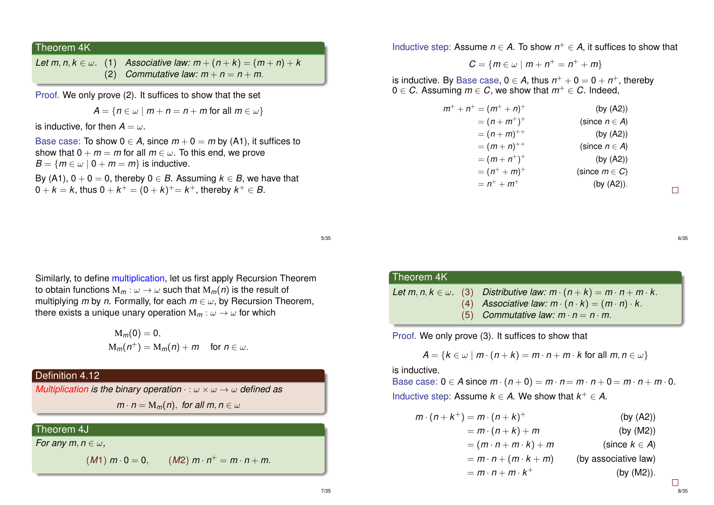#### Theorem 4K

*Let*  $m, n, k \in \omega$ . (1) *Associative law:*  $m + (n + k) = (m + n) + k$ (2) *Commutative law:*  $m + n = n + m$ .

Proof. We only prove (2). It suffices to show that the set

$$
A = \{ n \in \omega \mid m + n = n + m \text{ for all } m \in \omega \}
$$

is inductive, for then  $A = \omega$ .

Base case: To show  $0 \in A$ , since  $m + 0 = m$  by (A1), it suffices to show that  $0 + m = m$  for all  $m \in \omega$ . To this end, we prove  $B = \{m \in \omega \mid 0 + m = m\}$  is inductive.

By (A1),  $0 + 0 = 0$ , thereby  $0 \in B$ . Assuming  $k \in B$ , we have that  $0+k=k,$  thus  $0+k^+=(0+k)^+=k^+,$  thereby  $k^+\in\mathcal{B}.$ 

5/35

Similarly, to define multiplication, let us first apply Recursion Theorem to obtain functions  $M_m: \omega \to \omega$  such that  $M_m(n)$  is the result of multiplying *m* by *n*. Formally, for each  $m \in \omega$ , by Recursion Theorem, there exists a unique unary operation  $M_m$ :  $\omega \to \omega$  for which

$$
M_m(0) = 0,
$$
  
\n
$$
M_m(n^+) = M_m(n) + m \text{ for } n \in \omega.
$$

# Definition 4.12

*Multiplication is the binary operation* · : ω × ω → ω *defined as*

 $m \cdot n = M_m(n)$ , *for all m*,  $n \in \omega$ 

# Theorem 4J

*For any m, n*  $\in \omega$ ,

$$
(M1) \; m \cdot 0 = 0, \qquad (M2) \; m \cdot n^+ = m \cdot n +
$$

Inductive step: Assume  $n \in A$ . To show  $n^+ \in A$ , it suffices to show that

$$
C=\{m\in\omega\mid m+n^+=n^++m\}
$$

is inductive. By Base case,  $0 \in A$ , thus  $n^+ + 0 = 0 + n^+$ , thereby 0 ∈ *C*. Assuming  $m \in C$ , we show that  $m^+ \in C$ . Indeed,

| (by (A2))          |
|--------------------|
| (since $n \in A$ ) |
| (by (A2))          |
| (since $n \in A$ ) |
| (by (A2))          |
| (since $m \in C$ ) |
| (by $(A2)$ ).      |
|                    |

 $\Box$ 

6/35

Theorem 4K *Let*  $m, n, k \in \omega$ . (3) *Distributive law:*  $m \cdot (n + k) = m \cdot n + m \cdot k$ . (4) Associative law:  $m \cdot (n \cdot k) = (m \cdot n) \cdot k$ . (5) *Commutative law:*  $m \cdot n = n \cdot m$ .

Proof. We only prove (3). It suffices to show that

$$
A = \{k \in \omega \mid m \cdot (n + k) = m \cdot n + m \cdot k \text{ for all } m, n \in \omega\}
$$

is inductive.

Base case:  $0 \in A$  since  $m \cdot (n+0) = m \cdot n = m \cdot n + 0 = m \cdot n + m \cdot 0$ . Inductive step: Assume  $k \in A$ . We show that  $k^+ \in A$ .

$$
m \cdot (n + k^{+}) = m \cdot (n + k)^{+}
$$
\n
$$
= m \cdot (n + k) + m
$$
\n
$$
= (m \cdot n + m \cdot k) + m
$$
\n
$$
= m \cdot n + (m \cdot k + m)
$$
\n(by (A2))\n  
\n(since  $k \in A$ )\n  
\n= m \cdot n + m \cdot k^{+}\n(by associative law)\n  
\n(by (M2)).

<sup>+</sup> = *m* · *n* + *m*.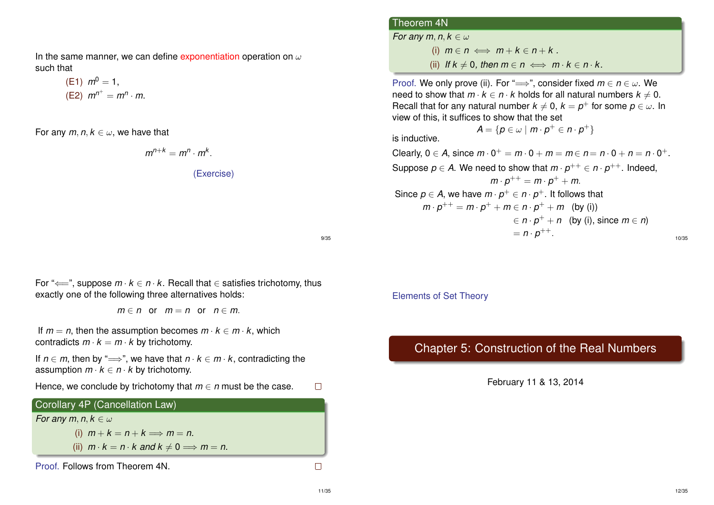In the same manner, we can define exponentiation operation on  $\omega$ such that

(E1) 
$$
m^0 = 1
$$
,  
(E2)  $m^{n^+} = m^n \cdot m$ .

For any  $m, n, k \in \omega$ , we have that

$$
m^{n+k}=m^n\cdot m^k.
$$

(Exercise)

9/35

For " $\Longleftarrow$ ", suppose  $m \cdot k \in n \cdot k$ . Recall that  $\in$  satisfies trichotomy, thus exactly one of the following three alternatives holds:

 $m \in n$  or  $m = n$  or  $n \in m$ .

If  $m = n$ , then the assumption becomes  $m \cdot k \in m \cdot k$ , which contradicts  $m \cdot k = m \cdot k$  by trichotomy.

If  $n \in m$ , then by " $\Longrightarrow$ ", we have that  $n \cdot k \in m \cdot k$ , contradicting the assumption  $m \cdot k \in n \cdot k$  by trichotomy.

Hence, we conclude by trichotomy that  $m \in n$  must be the case.  $\Box$ 

### Corollary 4P (Cancellation Law)

*For any m, n, k*  $\in \omega$ 

(i)  $m + k = n + k \implies m = n$ .

(ii)  $m \cdot k = n \cdot k$  and  $k \neq 0 \implies m = n$ .

Proof. Follows from Theorem 4N.

# Theorem 4N *For any m, n, k*  $\in \omega$ (i)  $m \in n \iff m + k \in n + k$ . (ii) *If*  $k \neq 0$ , then  $m \in n \iff m \cdot k \in n \cdot k$ .

Proof. We only prove (ii). For " $\Longrightarrow$ ", consider fixed  $m \in n \in \omega$ . We need to show that  $m \cdot k \in n \cdot k$  holds for all natural numbers  $k \neq 0$ . Recall that for any natural number  $k \neq 0$ ,  $k = p^+$  for some  $p \in \omega$ . In view of this, it suffices to show that the set  $\mathcal{A} = \{ \boldsymbol{\rho} \in \omega \mid m \cdot \boldsymbol{\rho}^+ \in n \cdot \boldsymbol{\rho}^+ \}$ 

is inductive.

Clearly,  $0 \in A$ , since  $m \cdot 0^+ = m \cdot 0 + m = m \in n = n \cdot 0 + n = n \cdot 0^+$ . Suppose  $p \in A$ . We need to show that  $m \cdot p^{++} \in n \cdot p^{++}$ . Indeed,  $m \cdot p^{++} = m \cdot p^+ + m$ . Since  $p \in A$ , we have  $m \cdot p^+ \in n \cdot p^+$ . It follows that  $m \cdot p^{++} = m \cdot p^+ + m \in n \cdot p^+ + m$  (by (i))  $\epsilon \in n \cdot p^+ + n$  (by (i), since  $m \in n$ )  $= n \cdot p^{++}.$ 10/35

Elements of Set Theory

# Chapter 5: Construction of the Real Numbers

February 11 & 13, 2014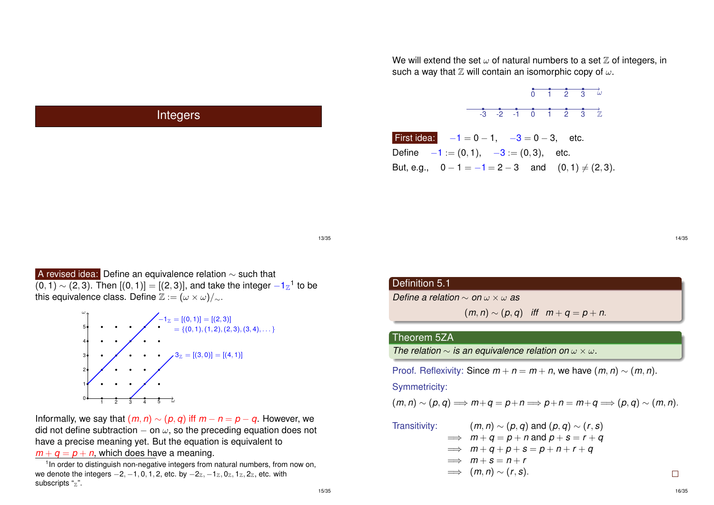We will extend the set  $\omega$  of natural numbers to a set  $\mathbb Z$  of integers, in such a way that  $\mathbb Z$  will contain an isomorphic copy of  $\omega$ .



First idea:  $-1 = 0 - 1$ ,  $-3 = 0 - 3$ , etc. Define  $-1 := (0, 1), -3 := (0, 3),$  etc. But, e.g.,  $0 - 1 = -1 = 2 - 3$  and  $(0, 1) \neq (2, 3)$ .

13/35

A revised idea: Define an equivalence relation ∼ such that  $(0,1)\sim$  (2,3). Then  $[(0,1)]=[(2,3)]$ , and take the integer  $-1\mathrm{z}^1$  to be this equivalence class. Define  $\mathbb{Z} := (\omega \times \omega)/_{\sim}$ .

**Integers** 



Informally, we say that  $(m, n) \sim (p, q)$  iff  $m - n = p - q$ . However, we did not define subtraction  $-$  on  $\omega$ , so the preceding equation does not have a precise meaning yet. But the equation is equivalent to

 $m + a = p + n$ , which does have a meaning.

<sup>1</sup> In order to distinguish non-negative integers from natural numbers, from now on, we denote the integers  $-2, -1, 0, 1, 2$ , etc. by  $-2<sub>\mathbb{Z}</sub>, -1<sub>\mathbb{Z}</sub>, 0<sub>\mathbb{Z}</sub>, 1<sub>\mathbb{Z}</sub>, 2<sub>\mathbb{Z}</sub>$ , etc. with subscripts  $\frac{a}{z}$ ".

### Definition 5.1

*Define a relation* ∼ *on* ω × ω *as*

$$
(m,n) \sim (p,q) \quad \text{iff} \quad m+q=p+n.
$$

#### Theorem 5ZA

*The relation*  $\sim$  *is an equivalence relation on*  $\omega \times \omega$ *.* 

Proof. Reflexivity: Since  $m + n = m + n$ , we have  $(m, n) \sim (m, n)$ .

Symmetricity:

$$
(m,n)\sim (p,q)\Longrightarrow m+q=p+n\Longrightarrow p+n=m+q\Longrightarrow (p,q)\sim (m,n).
$$

Transitivity:  
\n
$$
(m, n) \sim (p, q) \text{ and } (p, q) \sim (r, s)
$$
\n
$$
\implies m + q = p + n \text{ and } p + s = r + q
$$
\n
$$
\implies m + q + p + s = p + n + r + q
$$
\n
$$
\implies m + s = n + r
$$
\n
$$
\implies (m, n) \sim (r, s).
$$

14/35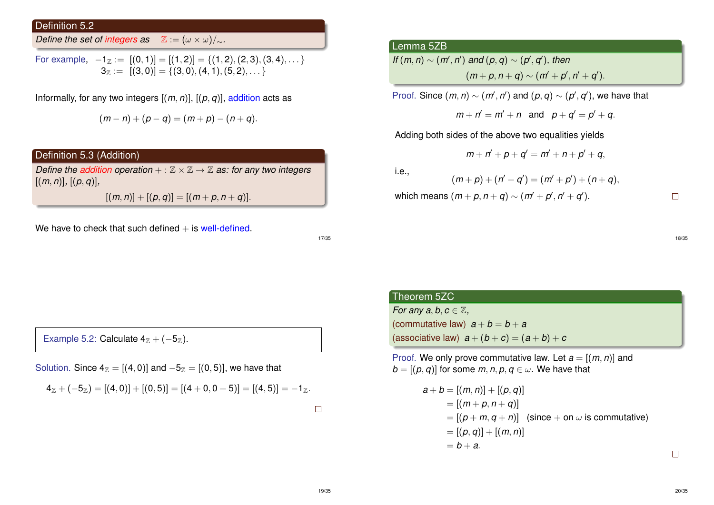Definition 5.2

*Define the set of integers as*  $\mathbb{Z} := (\omega \times \omega)/_{\sim}$ *.* 

For example, 
$$
-1_{\mathbb{Z}} := [(0,1)] = [(1,2)] = \{(1,2), (2,3), (3,4), \dots\}
$$
  
 $3_{\mathbb{Z}} := [(3,0)] = \{(3,0), (4,1), (5,2), \dots\}$ 

Informally, for any two integers  $[(m, n)]$ ,  $[(p, q)]$ , addition acts as

$$
(m-n)+(p-q)=(m+p)-(n+q).
$$

# Definition 5.3 (Addition)

*Define the addition operation* + :  $\mathbb{Z} \times \mathbb{Z} \rightarrow \mathbb{Z}$  *as: for any two integers*  $[(m, n)], [(p, q)],$ 

 $[(m, n)] + [(p, q)] = [(m + p, n + q)].$ 

We have to check that such defined  $+$  is well-defined.

17/35

Example 5.2: Calculate  $4_{\mathbb{Z}} + (-5_{\mathbb{Z}})$ .

Solution. Since  $4_{\mathbb{Z}} = [(4, 0)]$  and  $-5_{\mathbb{Z}} = [(0, 5)]$ , we have that

$$
4_{\mathbb{Z}}+(-5_{\mathbb{Z}})=[(4,0)]+[(0,5)]=[(4+0,0+5)]=[(4,5)]=-1_{\mathbb{Z}}.
$$

 $\Box$ 

## Lemma 5ZB

If 
$$
(m, n) \sim (m', n')
$$
 and  $(p, q) \sim (p', q')$ , then  
\n
$$
(m+p, n+q) \sim (m'+p', n'+q').
$$

Proof. Since  $(m, n) \sim (m', n')$  and  $(p, q) \sim (p', q')$ , we have that

 $m + n' = m' + n$  and  $p + q' = p' + q$ .

Adding both sides of the above two equalities yields

$$
m+n'+p+q'=m'+n+p'+q,\\
$$

i.e.,

 $(m+p)+(n'+q') = (m'+p')+(n+q),$ 

 $m$  which means  $(m + p, n + q) \sim (m' + p', n' + q').$ 

 $\Box$ 

18/35

# Theorem 5ZC

*For any a, b, c*  $\in \mathbb{Z}$ , (commutative law)  $a + b = b + a$ (associative law)  $a + (b + c) = (a + b) + c$ 

Proof. We only prove commutative law. Let  $a = [(m, n)]$  and  $b = [(p, q)]$  for some *m*, *n*, *p*,  $q \in \omega$ . We have that

$$
a + b = [(m, n)] + [(p, q)]
$$
  
= [(m + p, n + q)]  
= [(p + m, q + n)] (since + on  $\omega$  is commutative)  
= [(p, q)] + [(m, n)]  
= b + a.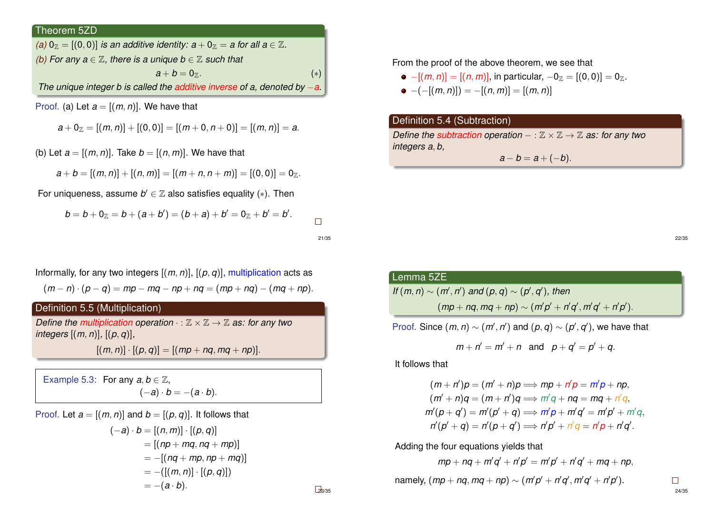## Theorem 5ZD

| (a) $0_{\mathbb{Z}} = [(0,0)]$ is an additive identity: $a + 0_{\mathbb{Z}} = a$ for all $a \in \mathbb{Z}$ . |       |
|---------------------------------------------------------------------------------------------------------------|-------|
| (b) For any $a \in \mathbb{Z}$ , there is a unique $b \in \mathbb{Z}$ such that                               |       |
| $a + b = 0$ <sub>7</sub> .                                                                                    | $(*)$ |
| The unique integer b is called the additive inverse of a, denoted by $-a$ .                                   |       |

Proof. (a) Let  $a = [(m, n)]$ . We have that

$$
a + 0_{\mathbb{Z}} = [(m, n)] + [(0, 0)] = [(m + 0, n + 0)] = [(m, n)] = a.
$$

(b) Let  $a = [(m, n)]$ . Take  $b = [(n, m)]$ . We have that

$$
a+b=[(m,n)]+[(n,m)]=[(m+n,n+m)]=[(0,0)]=0_{\mathbb{Z}}.
$$

For uniqueness, assume  $b' \in \mathbb{Z}$  also satisfies equality (\*). Then

$$
b = b + 0_{\mathbb{Z}} = b + (a + b') = (b + a) + b' = 0_{\mathbb{Z}} + b' = b'.
$$

21/35

Informally, for any two integers  $[(m, n)]$ ,  $[(p, q)]$ , multiplication acts as  $(m - n) \cdot (p - q) = mp - mq - np + nq = (mp + nq) - (mq + np).$ 

## Definition 5.5 (Multiplication)

*Define the multiplication operation*  $\cdot : \mathbb{Z} \times \mathbb{Z} \rightarrow \mathbb{Z}$  *as: for any two integers* [(*m*, *n*)]*,* [(*p*, *q*)]*,*  $[(m, n)] \cdot [(p, q)] = [(mp + nq, mq + np)].$ 

Example 5.3: For any  $a, b \in \mathbb{Z}$ ,  $(-a) \cdot b = -(a \cdot b).$ 

Proof. Let  $a = [(m, n)]$  and  $b = [(p, q)]$ . It follows that  $(-a) \cdot b = [(n, m)] \cdot [(p, q)]$  $= [(np + mq, nq + mp)]$  $= -[(nq + mp, np + mq)]$  $= -([m, n)] \cdot [(p, q)]$ 

 $= -(a \cdot b).$ 

From the proof of the above theorem, we see that

\n- \n
$$
-[(m, n)] = [(n, m)], \text{ in particular, } -0_{\mathbb{Z}} = [(0, 0)] = 0_{\mathbb{Z}}.
$$
\n
\n- \n
$$
(-[(m, n)]) = -[(n, m)] = [(m, n)]
$$
\n
\n

## Definition 5.4 (Subtraction)

*Define the subtraction operation* − :  $\mathbb{Z} \times \mathbb{Z} \rightarrow \mathbb{Z}$  *as: for any two integers a*, *b,*  $a - b = a + (-b)$ .

22/35

# Lemma 5ZE *If*  $(m, n) \sim (m', n')$  *and*  $(p, q) \sim (p', q')$ , *then*

 $(mp + nq, mq + np) \sim (m'p' + n'q', m'q' + n'p').$ 

Proof. Since  $(m, n) \sim (m', n')$  and  $(p, q) \sim (p', q')$ , we have that

$$
m + n' = m' + n
$$
 and  $p + q' = p' + q$ .

It follows that

$$
(m+n')p = (m'+n)p \Longrightarrow mp + n'p = m'p + np,
$$
  
\n
$$
(m'+n)q = (m+n')q \Longrightarrow m'q + nq = mq + n'q,
$$
  
\n
$$
m'(p+q') = m'(p'+q) \Longrightarrow m'p + m'q' = m'p' + m'q,
$$
  
\n
$$
n'(p'+q) = n'(p+q') \Longrightarrow n'p' + n'q = n'p + n'q'.
$$

Adding the four equations yields that

 $mp + nq + m'q' + n'p' = m'p' + n'q' + mq + np,$ 

namely, 
$$
(mp + nq, mq + np) \sim (m'p' + n'q', m'q' + n'p')
$$
.

23/35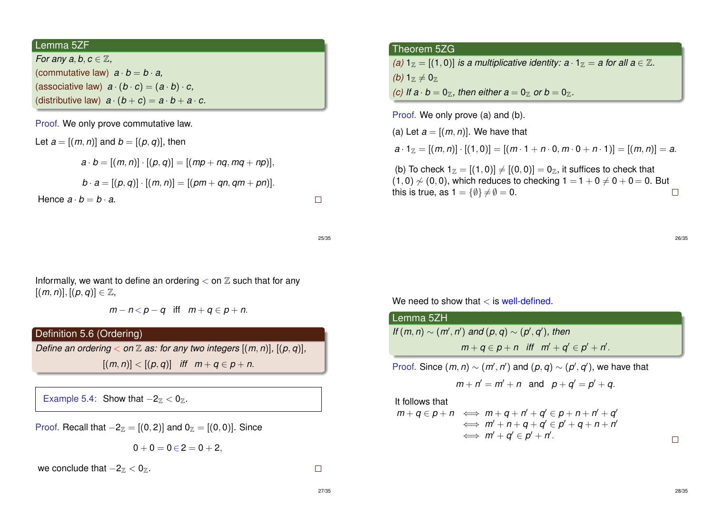### Lemma 5ZF

*For any a, b, c*  $\in \mathbb{Z}$ , (commutative law)  $a \cdot b = b \cdot a$ . (associative law)  $a \cdot (b \cdot c) = (a \cdot b) \cdot c$ , (distributive law)  $a \cdot (b + c) = a \cdot b + a \cdot c$ .

Proof. We only prove commutative law.

Let 
$$
a = [(m, n)]
$$
 and  $b = [(p, q)]$ , then  
\n
$$
a \cdot b = [(m, n)] \cdot [(p, q)] = [(mp + nq, mq + np)],
$$
\n
$$
b \cdot a = [(p, q)] \cdot [(m, n)] = [(pm + qn, qm + pn)].
$$
\nHence  $a \cdot b = b \cdot a$ .

25/35

 $\Box$ 

Informally, we want to define an ordering  $<$  on  $\mathbb Z$  such that for any  $[(m, n)], [(p, q)] \in \mathbb{Z},$ 

 $m - n < p - q$  iff  $m + q \in p + n$ .

#### Definition 5.6 (Ordering)

*Define an ordering*  $<$  *on*  $\mathbb{Z}$  *as: for any two integers*  $[(m, n)]$ ,  $[(p, q)]$ ,  $[(m, n)] < [(p, q)]$  *iff*  $m + q \in p + n$ .

Example 5.4: Show that  $-2\alpha < 0\alpha$ .

Proof. Recall that  $-2\ell = [(0, 2)]$  and  $0\ell = [(0, 0)]$ . Since

$$
0+0=0\,{\in}\,2=0+2,
$$

we conclude that  $-2_Z < 0_Z$ .

### Theorem 5ZG

*(a)*  $1_{\mathbb{Z}} = [(1, 0)]$  *is a multiplicative identity: a* ·  $1_{\mathbb{Z}} = a$  *for all a*  $\in \mathbb{Z}$ *. (b)*  $1_{\mathbb{Z}} \neq 0_{\mathbb{Z}}$ *(c)* If  $a \cdot b = 0$ <sub>7</sub>, then either  $a = 0$ <sub>7</sub> or  $b = 0$ <sub>7</sub>.

Proof. We only prove (a) and (b).

(a) Let  $a = [(m, n)]$ . We have that  $a \cdot 1_{\mathbb{Z}} = [(m, n)] \cdot [(1, 0)] = [(m \cdot 1 + n \cdot 0, m \cdot 0 + n \cdot 1)] = [(m, n)] = a$ . (b) To check  $1_{\mathbb{Z}} = [(1, 0)] \neq [(0, 0)] = 0_{\mathbb{Z}}$ , it suffices to check that  $(1, 0)$   $\neq$   $(0, 0)$ , which reduces to checking  $1 = 1 + 0 \neq 0 + 0 = 0$ . But this is true, as  $1 = \{ \emptyset \} \neq \emptyset = 0$ .  $\Box$ 

We need to show that  $\langle$  is well-defined.

| Lemma 5ZH                                                                     |
|-------------------------------------------------------------------------------|
| If $(m, n) \sim (m', n')$ and $(p, q) \sim (p', q')$ , then                   |
| $m+q \in p+n$ iff $m'+q' \in p'+n'$ .                                         |
| Proof. Since $(m, n) \sim (m', n')$ and $(p, q) \sim (p', q')$ , we have that |

$$
m+n'=m'+n \text{ and } p+q'=p'+q.
$$

It follows that

$$
m + q \in p + n \iff m + q + n' + q' \in p + n + n' + q' \n\iff m' + n + q + q' \in p' + q + n + n' \n\iff m' + q' \in p' + n'.
$$

 $\Box$ 

26/35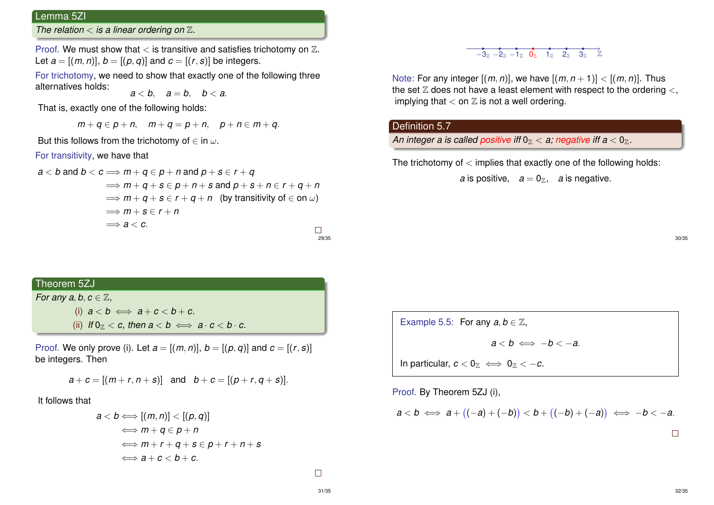# Lemma 5ZI

*The relation* < *is a linear ordering on* Z*.*

Proof. We must show that  $\lt$  is transitive and satisfies trichotomy on  $\mathbb{Z}$ . Let  $a = [(m, n)]$ ,  $b = [(p, q)]$  and  $c = [(r, s)]$  be integers.

For trichotomy, we need to show that exactly one of the following three alternatives holds:

 $a < b$ ,  $a = b$ ,  $b < a$ .

That is, exactly one of the following holds:

 $m + q \in p + n$ ,  $m + q = p + n$ ,  $p + n \in m + q$ .

But this follows from the trichotomy of  $\in$  in  $\omega$ .

#### For transitivity, we have that

$$
a < b \text{ and } b < c \implies m + q \in p + n \text{ and } p + s \in r + q
$$
  
\n
$$
\implies m + q + s \in p + n + s \text{ and } p + s + n \in r + q + n
$$
  
\n
$$
\implies m + q + s \in r + q + n \quad \text{(by transitivity of } \in \text{on } \omega\text{)}
$$
  
\n
$$
\implies m + s \in r + n
$$
  
\n
$$
\implies a < c.
$$

 $-3\pi$   $-2\pi$   $-1\pi$   $0\pi$   $1\pi$   $2\pi$   $3\pi$   $\mathbb{Z}$ 

Note: For any integer  $[(m, n)]$ , we have  $[(m, n+1)] < [(m, n)]$ . Thus the set  $\mathbb Z$  does not have a least element with respect to the ordering  $\lt$ , implying that  $<$  on  $\mathbb Z$  is not a well ordering.

## Definition 5.7

An integer a is called positive iff  $0<sub>\mathbb{Z}<</sub>$  a; negative iff  $a<0<sub>\mathbb{Z}<</sub>$ .

The trichotomy of  $\lt$  implies that exactly one of the following holds:

*a* is positive,  $a = 0_{\mathbb{Z}}$ , *a* is negative.

# Theorem 5ZJ

*For any a, b,*  $c \in \mathbb{Z}$ *,* 

(i)  $a < b \iff a + c < b + c$ . (ii) *If*  $0_{\mathbb{Z}} < c$ , then  $a < b \iff a \cdot c < b \cdot c$ .

Proof. We only prove (i). Let  $a = [(m, n)]$ ,  $b = [(p, q)]$  and  $c = [(r, s)]$ be integers. Then

$$
a + c = [(m + r, n + s)]
$$
 and  $b + c = [(p + r, q + s)].$ 

It follows that

$$
a < b \Longleftrightarrow [(m, n)] < [(p, q)]
$$
  
\n
$$
\Longleftrightarrow m + q \in p + n
$$
  
\n
$$
\Longleftrightarrow m + r + q + s \in p + r + n + s
$$
  
\n
$$
\Longleftrightarrow a + c < b + c.
$$

Example 5.5: For any  $a, b \in \mathbb{Z}$ ,  $a < b \iff -b < -a$ . In particular,  $c < 0_{\mathbb{Z}} \iff 0_{\mathbb{Z}} < -c$ .

Proof. By Theorem 5ZJ (i),

$$
a < b \iff a + \big( (-a) + (-b) \big) < b + \big( (-b) + (-a) \big) \iff -b < -a.
$$

32/35